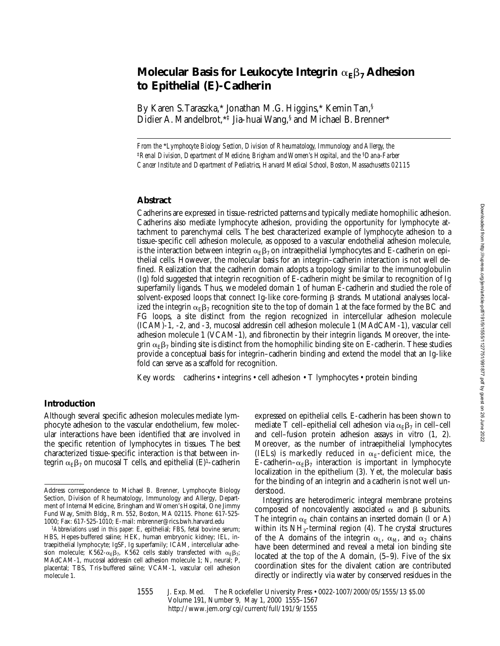# **Molecular Basis for Leukocyte Integrin**  $\alpha_{\rm F} \beta_7$  Adhesion **to Epithelial (E)-Cadherin**

By Karen S. Taraszka,\* Jonathan M.G. Higgins,\* Kemin Tan,§ Didier A. Mandelbrot,\*‡ Jia-huai Wang,§ and Michael B. Brenner\*

*From the* \**Lymphocyte Biology Section, Division of Rheumatology, Immunology and Allergy, the*  <sup>‡</sup> Renal Division, Department of Medicine, Brigham and Women's Hospital, and the <sup>§</sup>Dana-Farber *Cancer Institute and Department of Pediatrics, Harvard Medical School, Boston, Massachusetts 02115*

#### **Abstract**

Cadherins are expressed in tissue-restricted patterns and typically mediate homophilic adhesion. Cadherins also mediate lymphocyte adhesion, providing the opportunity for lymphocyte attachment to parenchymal cells. The best characterized example of lymphocyte adhesion to a tissue-specific cell adhesion molecule, as opposed to a vascular endothelial adhesion molecule, is the interaction between integrin  $\alpha_E\beta_7$  on intraepithelial lymphocytes and E-cadherin on epithelial cells. However, the molecular basis for an integrin–cadherin interaction is not well defined. Realization that the cadherin domain adopts a topology similar to the immunoglobulin (Ig) fold suggested that integrin recognition of E-cadherin might be similar to recognition of Ig superfamily ligands. Thus, we modeled domain 1 of human E-cadherin and studied the role of solvent-exposed loops that connect Ig-like core-forming  $\beta$  strands. Mutational analyses localized the integrin  $\alpha_E\beta_7$  recognition site to the top of domain 1 at the face formed by the BC and FG loops, a site distinct from the region recognized in intercellular adhesion molecule (ICAM)-1, -2, and -3, mucosal addressin cell adhesion molecule 1 (MAdCAM-1), vascular cell adhesion molecule 1 (VCAM-1), and fibronectin by their integrin ligands. Moreover, the integrin  $\alpha_E\beta_7$  binding site is distinct from the homophilic binding site on E-cadherin. These studies provide a conceptual basis for integrin–cadherin binding and extend the model that an Ig-like fold can serve as a scaffold for recognition.

Key words: cadherins • integrins • cell adhesion • T lymphocytes • protein binding

# **Introduction**

Although several specific adhesion molecules mediate lymphocyte adhesion to the vascular endothelium, few molecular interactions have been identified that are involved in the specific retention of lymphocytes in tissues. The best characterized tissue-specific interaction is that between integrin  $\alpha_F \beta_7$  on mucosal T cells, and epithelial (E)<sup>1</sup>-cadherin

expressed on epithelial cells. E-cadherin has been shown to mediate T cell–epithelial cell adhesion via  $\alpha_{\rm F} \beta_7$  in cell–cell and cell–fusion protein adhesion assays in vitro (1, 2). Moreover, as the number of intraepithelial lymphocytes (IELs) is markedly reduced in  $\alpha_E$ -deficient mice, the E-cadherin– $\alpha_E\beta_7$  interaction is important in lymphocyte localization in the epithelium (3). Yet, the molecular basis for the binding of an integrin and a cadherin is not well understood.

Integrins are heterodimeric integral membrane proteins composed of noncovalently associated  $\alpha$  and  $\beta$  subunits. The integrin  $\alpha_E$  chain contains an inserted domain (I or A) within its  $NH<sub>2</sub>$ -terminal region (4). The crystal structures of the A domains of the integrin  $\alpha_L$ ,  $\alpha_M$ , and  $\alpha_2$  chains have been determined and reveal a metal ion binding site located at the top of the A domain, (5–9). Five of the six coordination sites for the divalent cation are contributed directly or indirectly via water by conserved residues in the

1555 J. Exp. Med. The Rockefeller University Press • 0022-1007/2000/05/1555/13 \$5.00 Volume 191, Number 9, May 1, 2000 1555–1567 http://www.jem.org/cgi/current/full/191/9/1555

Address correspondence to Michael B. Brenner, Lymphocyte Biology Section, Division of Rheumatology, Immunology and Allergy, Department of Internal Medicine, Bringham and Women's Hospital, One Jimmy Fund Way, Smith Bldg., Rm. 552, Boston, MA 02115. Phone: 617-525- 1000; Fax: 617-525-1010; E-mail: mbrenner@rics.bwh.harvard.edu

<sup>1</sup>*Abbreviations used in this paper:* E, epithelial; FBS, fetal bovine serum; HBS, Hepes-buffered saline; HEK, human embryonic kidney; IEL, intraepithelial lymphocyte; IgSF, Ig superfamily; ICAM, intercellular adhesion molecule; K562- $\alpha_E\beta_7$ , K562 cells stably transfected with  $\alpha_E\beta_7$ ; MAdCAM-1, mucosal addressin cell adhesion molecule 1; N, neural; P, placental; TBS, Tris-buffered saline; VCAM-1, vascular cell adhesion molecule 1.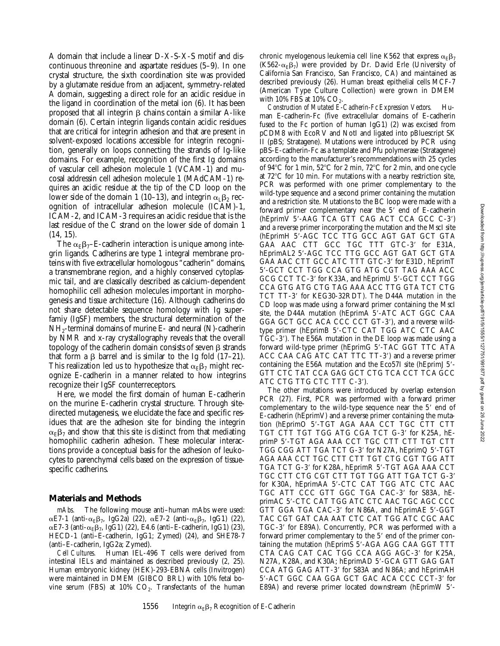A domain that include a linear D-X-S-X-S motif and discontinuous threonine and aspartate residues (5–9). In one crystal structure, the sixth coordination site was provided by a glutamate residue from an adjacent, symmetry-related A domain, suggesting a direct role for an acidic residue in the ligand in coordination of the metal ion (6). It has been proposed that all integrin  $\beta$  chains contain a similar A-like domain (6). Certain integrin ligands contain acidic residues that are critical for integrin adhesion and that are present in solvent-exposed locations accessible for integrin recognition, generally on loops connecting the strands of Ig-like domains. For example, recognition of the first Ig domains of vascular cell adhesion molecule 1 (VCAM-1) and mucosal addressin cell adhesion molecule 1 (MAdCAM-1) requires an acidic residue at the tip of the CD loop on the lower side of the domain 1 (10–13), and integrin  $\alpha_1\beta_2$  recognition of intracellular adhesion molecule (ICAM)-1, ICAM-2, and ICAM-3 requires an acidic residue that is the last residue of the C strand on the lower side of domain 1 (14, 15).

The  $\alpha_F\beta_T$ –E-cadherin interaction is unique among integrin ligands. Cadherins are type 1 integral membrane proteins with five extracellular homologous "cadherin" domains, a transmembrane region, and a highly conserved cytoplasmic tail, and are classically described as calcium-dependent homophilic cell adhesion molecules important in morphogenesis and tissue architecture (16). Although cadherins do not share detectable sequence homology with Ig superfamiy (IgSF) members, the structural determination of the NH2-terminal domains of murine E- and neural (N)-cadherin by NMR and x-ray crystallography reveals that the overall topology of the cadherin domain consists of seven  $\beta$  strands that form a  $\beta$  barrel and is similar to the Ig fold (17–21). This realization led us to hypothesize that  $\alpha_E \beta_7$  might recognize E-cadherin in a manner related to how integrins recognize their IgSF counterreceptors.

Here, we model the first domain of human E-cadherin on the murine E-cadherin crystal structure. Through sitedirected mutagenesis, we elucidate the face and specific residues that are the adhesion site for binding the integrin  $\alpha_{\rm E}\beta_7$  and show that this site is distinct from that mediating homophilic cadherin adhesion. These molecular interactions provide a conceptual basis for the adhesion of leukocytes to parenchymal cells based on the expression of tissuespecific cadherins.

#### **Materials and Methods**

*mAbs.* The following mouse anti–human mAbs were used:  $\alpha$ E7-1 (anti- $\alpha_E\beta_7$ , IgG2a) (22),  $\alpha$ E7-2 (anti- $\alpha_E\beta_7$ , IgG1) (22),  $\alpha$ E7-3 (anti- $\alpha$ <sub>E</sub> $\beta$ <sub>7</sub>, IgG1) (22), E4.6 (anti-E-cadherin, IgG1) (23), HECD-1 (anti–E-cadherin, IgG1; Zymed) (24), and SHE78-7 (anti–E-cadherin, IgG2a; Zymed).

*Cell Cultures.* Human IEL-496 T cells were derived from intestinal IELs and maintained as described previously (2, 25). Human embryonic kidney (HEK)-293-EBNA cells (Invitrogen) were maintained in DMEM (GIBCO BRL) with 10% fetal bovine serum (FBS) at  $10\%$   $CO<sub>2</sub>$ . Transfectants of the human chronic myelogenous leukemia cell line K562 that express  $\alpha_{\rm E}\beta_7$ (K562- $\alpha_E\beta_7$ ) were provided by Dr. David Erle (University of California San Francisco, San Francisco, CA) and maintained as described previously (26). Human breast epithelial cells MCF-7 (American Type Culture Collection) were grown in DMEM with 10% FBS at 10%  $CO<sub>2</sub>$ .

*Construction of Mutated E-Cadherin-Fc Expression Vectors.* Human E-cadherin-Fc (five extracellular domains of E-cadherin fused to the Fc portion of human IgG1) (2) was excised from pCDM8 with EcoRV and NotI and ligated into pBluescript SK II (pBS; Stratagene). Mutations were introduced by PCR using pBS-E-cadherin-Fc as a template and Pfu polymerase (Stratagene) according to the manufacturer's recommendations with 25 cycles of 94 $\rm ^{\circ}C$  for 1 min, 52 $\rm ^{\circ}C$  for 2 min, 72 $\rm ^{\circ}C$  for 2 min, and one cycle at  $72^{\circ}$ C for 10 min. For mutations with a nearby restriction site, PCR was performed with one primer complementary to the wild-type sequence and a second primer containing the mutation and a restriction site. Mutations to the BC loop were made with a forward primer complementary near the  $5'$  end of E-cadherin (hEprimV 5'-AAG TCA GTT CAG ACT CCA GCC C-3') and a reverse primer incorporating the mutation and the MscI site (hEprimH 5'-AGC TCC TTG GCC AGT GAT GCT GTA GAA AAC CTT GCC TGC TTT GTC-3′ for E31A, hEprimAL2 5'-AGC TCC TTG GCC AGT GAT GCT GTA GAA AAC CTT GCC ATC TTT GTC-3' for E31D, hEprimT 5'-GCT CCT TGG CCA GTG ATG CGT TAG AAA ACC GCG CCT TC-3' for K33A, and hEprimU 5'-GCT CCT TGG CCA GTG ATG CTG TAG AAA ACC TTG GTA TCT CTG TCT TT-3' for KEG30-32RDT). The D44A mutation in the CD loop was made using a forward primer containing the MscI site, the D44A mutation (hEprimA 5'-ATC ACT GGC CAA GGA GCT GCC ACA CCC CCT GT-3'), and a reverse wildtype primer (hEprimB 5'-CTC CAT TGG ATC CTC AAC TGC-39). The E56A mutation in the DE loop was made using a forward wild-type primer (hEprimG 5'-TAC GGT TTC ATA ACC CAA CAG ATC CAT TTC TT-3') and a reverse primer containing the E56A mutation and the Eco57I site (hEprimJ 5'-GTT CTC TAT CCA GAG GCT CTG TCA CCT TCA GCC ATC CTG TTG CTC TTT C-3').

The other mutations were introduced by overlap extension PCR (27). First, PCR was performed with a forward primer complementary to the wild-type sequence near the 5' end of E-cadherin (hEprimV) and a reverse primer containing the mutation (hEprimO 5'-TGT AGA AAA CCT TGC CTT CTT TGT CTT TGT TGG ATG CGA TCT G-3' for K25A, hEprimP 5'-TGT AGA AAA CCT TGC CTT CTT TGT CTT TGG CGG ATT TGA TCT G-3' for N27A, hEprimQ 5'-TGT AGA AAA CCT TGC CTT CTT TGT CTG CGT TGG ATT TGA TCT G-3' for K28A, hEprimR 5'-TGT AGA AAA CCT TGC CTT CTG CGT CTT TGT TGG ATT TGA TCT G-3' for K30A, hEprimAA 5'-CTC CAT TGG ATC CTC AAC TGC ATT CCC GTT GGC TGA CAC-3' for S83A, hEprimAC 5'-CTC CAT TGG ATC CTC AAC TGC AGC CCC GTT GGA TGA CAC-3' for N86A, and hEprimAE 5'-GGT TAC CGT GAT CAA AAT CTC CAT TGG ATC CGC AAC TGC-3' for E89A). Concurrently, PCR was performed with a forward primer complementary to the 5' end of the primer containing the mutation (hEprimS 5'-AGA AGG CAA GGT TTT CTA CAG CAT CAC TGG CCA AGG AGC-3' for K25A, N27A, K28A, and K30A; hEprimAD 5'-GCA GTT GAG GAT CCA ATG GAG ATT-3' for S83A and N86A; and hEprimAH 5'-ACT GGC CAA GGA GCT GAC ACA CCC CCT-3' for E89A) and reverse primer located downstream (hEprimW 5'-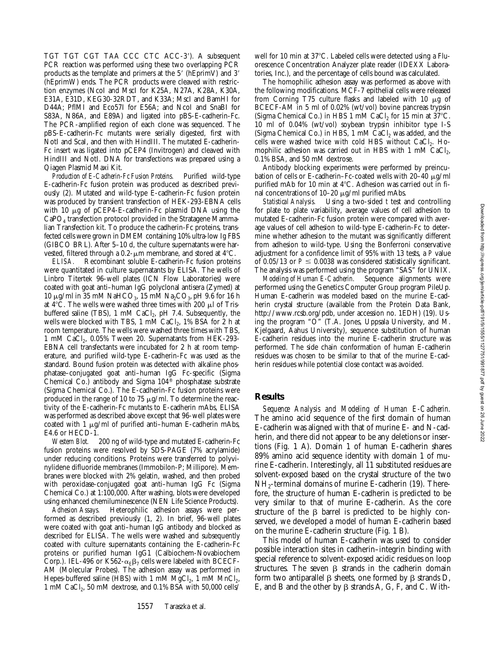TGT TGT CGT TAA CCC CTC ACC-3'). A subsequent PCR reaction was performed using these two overlapping PCR products as the template and primers at the  $5'$  (hEprimV) and  $3'$ (hEprimW) ends. The PCR products were cleaved with restriction enzymes (NcoI and MscI for K25A, N27A, K28A, K30A, E31A, E31D, KEG30-32RDT, and K33A; MscI and BamHI for D44A; PflMI and Eco57I for E56A; and NcoI and SnaBI for S83A, N86A, and E89A) and ligated into pBS-E-cadherin-Fc. The PCR-amplified region of each clone was sequenced. The pBS-E-cadherin-Fc mutants were serially digested, first with NotI and ScaI, and then with HindIII. The mutated E-cadherin-Fc insert was ligated into pCEP4 (Invitrogen) and cleaved with HindIII and NotI. DNA for transfections was prepared using a Qiagen Plasmid Maxi Kit.

*Production of E-Cadherin-Fc Fusion Proteins.* Purified wild-type E-cadherin-Fc fusion protein was produced as described previously (2). Mutated and wild-type E-cadherin-Fc fusion protein was produced by transient transfection of HEK-293-EBNA cells with 10  $\mu$ g of pCEP4-E-cadherin-Fc plasmid DNA using the CaPO4 transfection protocol provided in the Stratagene Mammalian Transfection kit. To produce the cadherin-Fc proteins, transfected cells were grown in DMEM containing 10% ultra-low Ig FBS (GIBCO BRL). After 5–10 d, the culture supernatants were harvested, filtered through a  $0.2$ - $\mu$ m membrane, and stored at 4 $\rm ^{\circ}C$ .

*ELISA.* Recombinant soluble E-cadherin-Fc fusion proteins were quantitated in culture supernatants by ELISA. The wells of Linbro Titertek 96-well plates (ICN Flow Laboratories) were coated with goat anti–human IgG polyclonal antisera (Zymed) at 10 µg/ml in 35 mM NaHCO<sub>3</sub>, 15 mM Na<sub>2</sub>CO<sub>3</sub>, pH 9.6 for 16 h at  $4^{\circ}$ C. The wells were washed three times with 200  $\mu$ l of Trisbuffered saline (TBS), 1 mM CaCl<sub>2</sub>, pH 7.4. Subsequently, the wells were blocked with TBS, 1 mM CaCl<sub>2</sub>, 1% BSA for 2 h at room temperature. The wells were washed three times with TBS, 1 mM CaCl<sub>2</sub>, 0.05% Tween 20. Supernatants from HEK-293-EBNA cell transfectants were incubated for 2 h at room temperature, and purified wild-type E-cadherin-Fc was used as the standard. Bound fusion protein was detected with alkaline phosphatase–conjugated goat anti–human IgG Fc-specific (Sigma Chemical Co.) antibody and Sigma 104® phosphatase substrate (Sigma Chemical Co.). The E-cadherin-Fc fusion proteins were produced in the range of 10 to 75  $\mu$ g/ml. To determine the reactivity of the E-cadherin-Fc mutants to E-cadherin mAbs, ELISA was performed as described above except that 96-well plates were coated with 1  $\mu$ g/ml of purified anti-human E-cadherin mAbs, E4.6 or HECD-1.

*Western Blot.* 200 ng of wild-type and mutated E-cadherin-Fc fusion proteins were resolved by SDS-PAGE (7% acrylamide) under reducing conditions. Proteins were transferred to polyvinylidene difluoride membranes (Immobilon-P; Millipore). Membranes were blocked with 2% gelatin, washed, and then probed with peroxidase-conjugated goat anti–human IgG Fc (Sigma Chemical Co.) at 1:100,000. After washing, blots were developed using enhanced chemiluminescence (NEN Life Science Products).

*Adhesion Assays.* Heterophilic adhesion assays were performed as described previously (1, 2). In brief, 96-well plates were coated with goat anti–human IgG antibody and blocked as described for ELISA. The wells were washed and subsequently coated with culture supernatants containing the E-cadherin-Fc proteins or purified human IgG1 (Calbiochem-Novabiochem Corp.). IEL-496 or K562- $\alpha_E\beta_7$  cells were labeled with BCECF-AM (Molecular Probes). The adhesion assay was performed in Hepes-buffered saline (HBS) with 1 mM  $MgCl<sub>2</sub>$ , 1 mM  $MnCl<sub>2</sub>$ , 1 mM CaCl<sub>2</sub>, 50 mM dextrose, and 0.1% BSA with 50,000 cells/ well for 10 min at 37°C. Labeled cells were detected using a Fluorescence Concentration Analyzer plate reader (IDEXX Laboratories, Inc.), and the percentage of cells bound was calculated.

The homophilic adhesion assay was performed as above with the following modifications. MCF-7 epithelial cells were released from Corning T75 culture flasks and labeled with 10  $\mu$ g of BCECF-AM in 5 ml of 0.02% (wt/vol) bovine pancreas trypsin (Sigma Chemical Co.) in HBS 1 mM CaCl<sub>2</sub> for 15 min at  $37^{\circ}$ C. 10 ml of 0.04% (wt/vol) soybean trypsin inhibitor type I-S (Sigma Chemical Co.) in HBS,  $1 \text{ mM }$  CaCl<sub>2</sub> was added, and the cells were washed twice with cold HBS without CaCl<sub>2</sub>. Homophilic adhesion was carried out in HBS with 1 mM  $CaCl<sub>2</sub>$ , 0.1% BSA, and 50 mM dextrose.

Antibody blocking experiments were performed by preincubation of cells or E-cadherin–Fc-coated wells with  $20-40 \mu g/ml$ purified mAb for 10 min at  $4^{\circ}$ C. Adhesion was carried out in final concentrations of 10–20  $\mu$ g/ml purified mAbs.

*Statistical Analysis.* Using a two-sided *t* test and controlling for plate to plate variability, average values of cell adhesion to mutated E-cadherin-Fc fusion protein were compared with average values of cell adhesion to wild-type E-cadherin-Fc to determine whether adhesion to the mutant was significantly different from adhesion to wild-type. Using the Bonferroni conservative adjustment for a confidence limit of 95% with 13 tests, a *P* value of 0.05/13 or  $P \le 0.0038$  was considered statistically significant. The analysis was performed using the program "SAS" for UNIX.

*Modeling of Human E-Cadherin.* Sequence alignments were performed using the Genetics Computer Group program PileUp. Human E-cadherin was modeled based on the murine E-cadherin crystal structure (available from the Protein Data Bank, http://www.rcsb.org/pdb, under accession no. 1EDH) (19). Using the program "O" (T.A. Jones, Uppsala University, and M. Kjelgaard, Aahus University), sequence substitution of human E-cadherin residues into the murine E-cadherin structure was performed. The side chain conformation of human E-cadherin residues was chosen to be similar to that of the murine E-cadherin residues while potential close contact was avoided.

### **Results**

*Sequence Analysis and Modeling of Human E-Cadherin.* The amino acid sequence of the first domain of human E-cadherin was aligned with that of murine E- and N-cadherin, and there did not appear to be any deletions or insertions (Fig. 1 A). Domain 1 of human E-cadherin shares 89% amino acid sequence identity with domain 1 of murine E-cadherin. Interestingly, all 11 substituted residues are solvent-exposed based on the crystal structure of the two NH2-terminal domains of murine E-cadherin (19). Therefore, the structure of human E-cadherin is predicted to be very similar to that of murine E-cadherin. As the core structure of the  $\beta$  barrel is predicted to be highly conserved, we developed a model of human E-cadherin based on the murine E-cadherin structure (Fig. 1 B).

This model of human E-cadherin was used to consider possible interaction sites in cadherin–integrin binding with special reference to solvent-exposed acidic residues on loop structures. The seven  $\beta$  strands in the cadherin domain form two antiparallel  $\beta$  sheets, one formed by  $\beta$  strands D, E, and B and the other by  $\beta$  strands A, G, F, and C. With-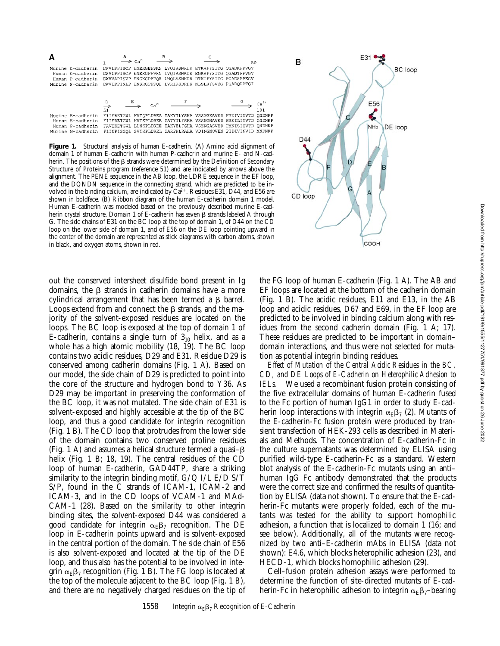|                                                                                | А | $Ca2+$           |                                                                                                                                                                                                                                      | 50 |      |
|--------------------------------------------------------------------------------|---|------------------|--------------------------------------------------------------------------------------------------------------------------------------------------------------------------------------------------------------------------------------|----|------|
| Murine E-cadherin<br>Human E-cadherin<br>Human P-cadherin<br>Murine N-cadherin |   |                  | DWVIPPISCP ENEKGEFPKN LVOIKSNRDK ETKVFYSITG OGADKPPVGV<br>DWVIPPISCP ENEKGPFPKN LVOIKSNKDK EGKVFYSITG OGADTPPVGV<br>DWVVAPISVP ENGKGPFPOR LNOLKSNKDR DTKIFYSITG PGADSPPEGV<br>DWVIPPINLP ENSRGPFPOE LVRIRSDRDK NLSLRYSVTG PGADOPPTGI |    |      |
|                                                                                |   | $r_{\rm p}^{2+}$ |                                                                                                                                                                                                                                      |    | 01 ا |

|                                                                                  | 51 |  |  | 101 |
|----------------------------------------------------------------------------------|----|--|--|-----|
| urine E-cadherin - FIIERETGWL KVTOPLDREA IAKYILYSHA VSSNGEAVED PMEIVITVTD ONDNRP |    |  |  |     |
| Human E-cadherin - FIIERETGWL KVTEPLDRER IATYTLFSHA VSSNGNAVED PMEILITVTD ONDNKP |    |  |  |     |
| Human P-cadherin - FAVEKETGWL LLNKPLDREE IAKYELFGHA VSENGASVED PMNISIIVTD QNDHKP |    |  |  |     |
| urine N-cadherin  FIINPISGOL SVTKPLDREL IARFHLRAHA VDINGNOVEN PIDIVINVID MNDNRP  |    |  |  |     |
|                                                                                  |    |  |  |     |

M

 $\overline{M}$ 

Figure 1. Structural analysis of human E-cadherin. (A) Amino acid alignment of domain 1 of human E-cadherin with human P-cadherin and murine E- and N-cadherin. The positions of the  $\beta$  strands were determined by the Definition of Secondary Structure of Proteins program (reference 51) and are indicated by arrows above the alignment. The PENE sequence in the AB loop, the LDRE sequence in the EF loop, and the DQNDN sequence in the connecting strand, which are predicted to be involved in the binding calcium, are indicated by  $Ca^{2+}$ . Residues E31, D44, and E56 are shown in boldface. (B) Ribbon diagram of the human E-cadherin domain 1 model. Human E-cadherin was modeled based on the previously described murine E-cadherin crystal structure. Domain 1 of E-cadherin has seven  $\beta$  strands labeled A through G. The side chains of E31 on the BC loop at the top of domain 1, of D44 on the CD loop on the lower side of domain 1, and of E56 on the DE loop pointing upward in the center of the domain are represented as stick diagrams with carbon atoms, shown in black, and oxygen atoms, shown in red.

out the conserved intersheet disulfide bond present in Ig domains, the  $\beta$  strands in cadherin domains have a more cylindrical arrangement that has been termed a  $\beta$  barrel. Loops extend from and connect the  $\beta$  strands, and the majority of the solvent-exposed residues are located on the loops. The BC loop is exposed at the top of domain 1 of E-cadherin, contains a single turn of  $3<sub>10</sub>$  helix, and as a whole has a high atomic mobility (18, 19). The BC loop contains two acidic residues, D29 and E31. Residue D29 is conserved among cadherin domains (Fig. 1 A). Based on our model, the side chain of D29 is predicted to point into the core of the structure and hydrogen bond to Y36. As D29 may be important in preserving the conformation of the BC loop, it was not mutated. The side chain of E31 is solvent-exposed and highly accessible at the tip of the BC loop, and thus a good candidate for integrin recognition (Fig. 1 B). The CD loop that protrudes from the lower side of the domain contains two conserved proline residues (Fig. 1 A) and assumes a helical structure termed a quasi– $\beta$ helix (Fig. 1 B; 18, 19). The central residues of the CD loop of human E-cadherin, GAD44TP, share a striking similarity to the integrin binding motif,  $G/Q I/L E/D S/T$ S/P, found in the C strands of ICAM-1, ICAM-2 and ICAM-3, and in the CD loops of VCAM-1 and MAd-CAM-1 (28). Based on the similarity to other integrin binding sites, the solvent-exposed D44 was considered a good candidate for integrin  $\alpha_E \beta_7$  recognition. The DE loop in E-cadherin points upward and is solvent-exposed in the central portion of the domain. The side chain of E56 is also solvent-exposed and located at the tip of the DE loop, and thus also has the potential to be involved in integrin  $\alpha_E \beta_7$  recognition (Fig. 1 B). The FG loop is located at the top of the molecule adjacent to the BC loop (Fig. 1 B), and there are no negatively charged residues on the tip of

the FG loop of human E-cadherin (Fig. 1 A). The AB and EF loops are located at the bottom of the cadherin domain (Fig. 1 B). The acidic residues, E11 and E13, in the AB loop and acidic residues, D67 and E69, in the EF loop are predicted to be involved in binding calcium along with residues from the second cadherin domain (Fig. 1 A; 17). These residues are predicted to be important in domain– domain interactions, and thus were not selected for mutation as potential integrin binding residues.

E31

E56 ć

NH<sub>2</sub>

COOH

٢

D

G

BC loop

DE loop

B

D44

CD loop

*Effect of Mutation of the Central Acidic Residues in the BC, CD, and DE Loops of E-Cadherin on Heterophilic Adhesion to IELs.* We used a recombinant fusion protein consisting of the five extracellular domains of human E-cadherin fused to the Fc portion of human IgG1 in order to study E-cadherin loop interactions with integrin  $\alpha_E \beta_7$  (2). Mutants of the E-cadherin-Fc fusion protein were produced by transient transfection of HEK-293 cells as described in Materials and Methods. The concentration of E-cadherin-Fc in the culture supernatants was determined by ELISA using purified wild-type E-cadherin-Fc as a standard. Western blot analysis of the E-cadherin-Fc mutants using an anti– human IgG Fc antibody demonstrated that the products were the correct size and confirmed the results of quantitation by ELISA (data not shown). To ensure that the E-cadherin-Fc mutants were properly folded, each of the mutants was tested for the ability to support homophilic adhesion, a function that is localized to domain 1 (16; and see below). Additionally, all of the mutants were recognized by two anti–E-cadherin mAbs in ELISA (data not shown): E4.6, which blocks heterophilic adhesion (23), and HECD-1, which blocks homophilic adhesion (29).

Cell–fusion protein adhesion assays were performed to determine the function of site-directed mutants of E-cadherin-Fc in heterophilic adhesion to integrin  $\alpha_E\beta_7$ –bearing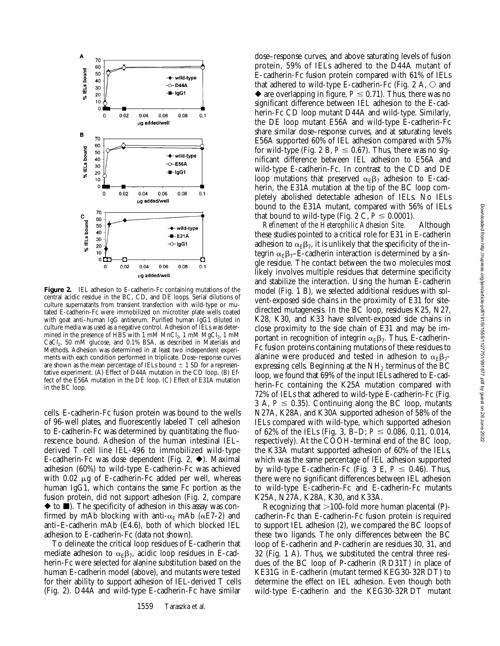

**Figure 2.** IEL adhesion to E-cadherin-Fc containing mutations of the central acidic residue in the BC, CD, and DE loops. Serial dilutions of culture supernatants from transient transfection with wild-type or mutated E-cadherin-Fc were immobilized on microtiter plate wells coated with goat anti–human IgG antiserum. Purified human IgG1 diluted in culture media was used as a negative control. Adhesion of IELs was determined in the presence of HBS with 1 mM  $MnCl<sub>2</sub>$ , 1 mM  $MgCl<sub>2</sub>$ , 1 mM  $CaCl<sub>2</sub>$ , 50 mM glucose, and 0.1% BSA, as described in Materials and Methods. Adhesion was determined in at least two independent experiments with each condition performed in triplicate. Dose–response curves are shown as the mean percentage of IELs bound  $\pm$  1 SD for a representative experiment. (A) Effect of D44A mutation in the CD loop. (B) Effect of the E56A mutation in the DE loop. (C) Effect of E31A mutation in the BC loop.

cells. E-cadherin-Fc fusion protein was bound to the wells of 96-well plates, and fluorescently labeled T cell adhesion to E-cadherin-Fc was determined by quantitating the fluorescence bound. Adhesion of the human intestinal IEL– derived T cell line IEL-496 to immobilized wild-type E-cadherin-Fc was dose dependent (Fig. 2,  $\blacklozenge$ ). Maximal adhesion (60%) to wild-type E-cadherin-Fc was achieved with  $0.02 \mu g$  of E-cadherin-Fc added per well, whereas human IgG1, which contains the same Fc portion as the fusion protein, did not support adhesion (Fig. 2, compare  $\blacklozenge$  to  $\blacksquare$ ). The specificity of adhesion in this assay was confirmed by mAb blocking with anti- $\alpha_E$  mAb ( $\alpha$ E7-2) and anti–E-cadherin mAb (E4.6), both of which blocked IEL adhesion to E-cadherin-Fc (data not shown).

To delineate the critical loop residues of E-cadherin that mediate adhesion to  $\alpha_E \beta_7$ , acidic loop residues in E-cadherin-Fc were selected for alanine substitution based on the human E-cadherin model (above), and mutants were tested for their ability to support adhesion of IEL-derived T cells (Fig. 2). D44A and wild-type E-cadherin-Fc have similar

dose–response curves, and above saturating levels of fusion protein, 59% of IELs adhered to the D44A mutant of E-cadherin-Fc fusion protein compared with 61% of IELs that adhered to wild-type E-cadherin-Fc (Fig. 2 A,  $\circ$  and  $\blacklozenge$  are overlapping in figure,  $P \leq 0.71$ ). Thus, there was no significant difference between IEL adhesion to the E-cadherin-Fc CD loop mutant D44A and wild-type. Similarly, the DE loop mutant E56A and wild-type E-cadherin-Fc share similar dose–response curves, and at saturating levels E56A supported 60% of IEL adhesion compared with 57% for wild-type (Fig. 2 B,  $P \le 0.67$ ). Thus, there was no significant difference between IEL adhesion to E56A and wild-type E-cadherin-Fc. In contrast to the CD and DE loop mutations that preserved  $\alpha_E\beta_7$  adhesion to E-cadherin, the E31A mutation at the tip of the BC loop completely abolished detectable adhesion of IELs. No IELs bound to the E31A mutant, compared with 56% of IELs that bound to wild-type (Fig. 2 C,  $P \le 0.0001$ ).

*Refinement of the Heterophilic Adhesion Site.* Although these studies pointed to a critical role for E31 in E-cadherin adhesion to  $\alpha_E \beta_7$ , it is unlikely that the specificity of the integrin  $\alpha_E\beta_{7}$ –E-cadherin interaction is determined by a single residue. The contact between the two molecules most likely involves multiple residues that determine specificity and stabilize the interaction. Using the human E-cadherin model (Fig. 1 B), we selected additional residues with solvent-exposed side chains in the proximity of E31 for sitedirected mutagenesis. In the BC loop, residues K25, N27, K28, K30, and K33 have solvent-exposed side chains in close proximity to the side chain of E31 and may be important in recognition of integrin  $\alpha_{\rm E}\beta_7$ . Thus, E-cadherin-Fc fusion proteins containing mutations of these residues to alanine were produced and tested in adhesion to  $\alpha_{\rm F} \beta_7$ expressing cells. Beginning at the  $NH<sub>2</sub>$  terminus of the BC loop, we found that 69% of the input IELs adhered to E-cadherin-Fc containing the K25A mutation compared with 72% of IELs that adhered to wild-type E-cadherin-Fc (Fig. 3 A,  $P \le 0.35$ ). Continuing along the BC loop, mutants N27A, K28A, and K30A supported adhesion of 58% of the IELs compared with wild-type, which supported adhesion of 62% of the IELs (Fig. 3, B-D;  $P \le 0.086$ , 0.11, 0.014, respectively). At the COOH-terminal end of the BC loop, the K33A mutant supported adhesion of 60% of the IELs, which was the same percentage of IEL adhesion supported by wild-type E-cadherin-Fc (Fig. 3 E,  $P \le 0.46$ ). Thus, there were no significant differences between IEL adhesion to wild-type E-cadherin-Fc and E-cadherin-Fc mutants K25A, N27A, K28A, K30, and K33A.

Recognizing that  $>100$ -fold more human placental (P)cadherin-Fc than E-cadherin-Fc fusion protein is required to support IEL adhesion (2), we compared the BC loops of these two ligands. The only differences between the BC loop of E-cadherin and P-cadherin are residues 30, 31, and 32 (Fig. 1 A). Thus, we substituted the central three residues of the BC loop of P-cadherin (RD31T) in place of KE31G in E-cadherin (mutant termed KEG30-32RDT) to determine the effect on IEL adhesion. Even though both wild-type E-cadherin and the KEG30-32RDT mutant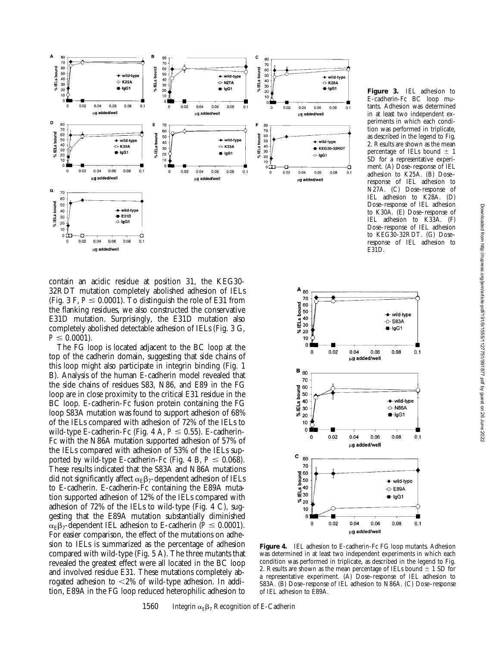

contain an acidic residue at position 31, the KEG30- 32RDT mutation completely abolished adhesion of IELs (Fig. 3 F,  $P \leq 0.0001$ ). To distinguish the role of E31 from the flanking residues, we also constructed the conservative E31D mutation. Surprisingly, the E31D mutation also completely abolished detectable adhesion of IELs (Fig. 3 G,  $P \leq 0.0001$ .

The FG loop is located adjacent to the BC loop at the top of the cadherin domain, suggesting that side chains of this loop might also participate in integrin binding (Fig. 1 B). Analysis of the human E-cadherin model revealed that the side chains of residues S83, N86, and E89 in the FG loop are in close proximity to the critical E31 residue in the BC loop. E-cadherin-Fc fusion protein containing the FG loop S83A mutation was found to support adhesion of 68% of the IELs compared with adhesion of 72% of the IELs to wild-type E-cadherin-Fc (Fig. 4 A,  $P \le 0.55$ ). E-cadherin-Fc with the N86A mutation supported adhesion of 57% of the IELs compared with adhesion of 53% of the IELs supported by wild-type E-cadherin-Fc (Fig. 4 B,  $P \le 0.068$ ). These results indicated that the S83A and N86A mutations did not significantly affect  $\alpha_E\beta_7$ -dependent adhesion of IELs to E-cadherin. E-cadherin-Fc containing the E89A mutation supported adhesion of 12% of the IELs compared with adhesion of 72% of the IELs to wild-type (Fig. 4 C), suggesting that the E89A mutation substantially diminished  $\alpha_{\rm F} \beta_7$ -dependent IEL adhesion to E-cadherin ( $P \le 0.0001$ ). For easier comparison, the effect of the mutations on adhesion to IELs is summarized as the percentage of adhesion compared with wild-type (Fig. 5 A). The three mutants that revealed the greatest effect were all located in the BC loop and involved residue E31. These mutations completely abrogated adhesion to  $\langle 2\%$  of wild-type adhesion. In addition, E89A in the FG loop reduced heterophilic adhesion to





**Figure 4.** IEL adhesion to E-cadherin-Fc FG loop mutants. Adhesion was determined in at least two independent experiments in which each condition was performed in triplicate, as described in the legend to Fig. 2. Results are shown as the mean percentage of IELs bound  $\pm$  1 SD for a representative experiment. (A) Dose–response of IEL adhesion to S83A. (B) Dose–response of IEL adhesion to N86A. (C) Dose–response of IEL adhesion to E89A.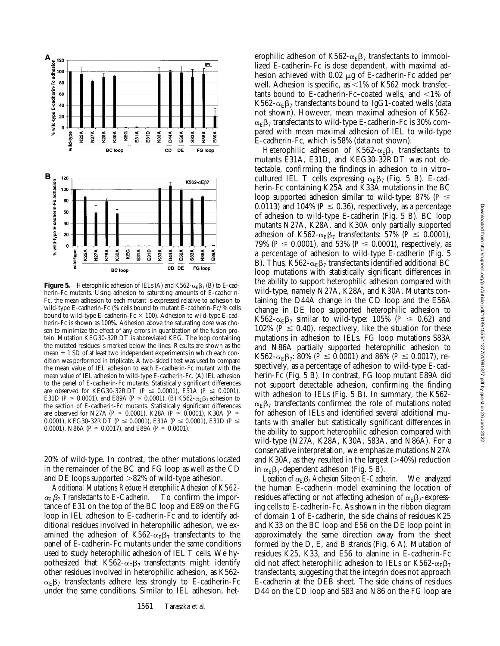

**Figure 5.** Heterophilic adhesion of IELs (A) and K562- $\alpha_E\beta_7$  (B) to E-cadherin-Fc mutants. Using adhesion to saturating amounts of E-cadherin-Fc, the mean adhesion to each mutant is expressed relative to adhesion to wild-type E-cadherin-Fc (% cells bound to mutant E-cadherin-Fc/% cells bound to wild-type E-cadherin-Fc  $\times$  100). Adhesion to wild-type E-cadherin-Fc is shown as 100%. Adhesion above the saturating dose was chosen to minimize the effect of any errors in quantitation of the fusion protein. Mutation KEG30-32RDT is abbreviated KEG. The loop containing the mutated residues is marked below the lines. Results are shown as the mean  $\pm$  1 SD of at least two independent experiments in which each condition was performed in triplicate. A two-sided *t* test was used to compare the mean value of IEL adhesion to each E-cadherin-Fc mutant with the mean value of IEL adhesion to wild-type E-cadherin-Fc. (A) IEL adhesion to the panel of E-cadherin-Fc mutants. Statistically significant differences are observed for KEG30-32RDT ( $P \le 0.0001$ ), E31A ( $P \le 0.0001$ ), E31D ( $P \le 0.0001$ ), and E89A ( $P \le 0.0001$ ). (B) K562- $\alpha_E \beta_7$  adhesion to the section of E-cadherin-Fc mutants. Statistically significant differences are observed for N27A ( $P \le 0.0001$ ), K28A ( $P \le 0.0001$ ), K30A ( $P \le$ 0.0001), KEG30-32RDT ( $P \le 0.0001$ ), E31A ( $P \le 0.0001$ ), E31D ( $P \le$ 0.0001), N86A ( $P \le 0.0017$ ), and E89A ( $P \le 0.0001$ ).

20% of wild-type. In contrast, the other mutations located in the remainder of the BC and FG loop as well as the CD and DE loops supported  $>82\%$  of wild-type adhesion.

*Additional Mutations Reduce Heterophilic Adhesion of K562-*  $\alpha_E \beta_I$  Transfectants to E-Cadherin. To confirm the importance of E31 on the top of the BC loop and E89 on the FG loop in IEL adhesion to E-cadherin-Fc and to identify additional residues involved in heterophilic adhesion, we examined the adhesion of K562- $\alpha_{\rm F} \beta_7$  transfectants to the panel of E-cadherin-Fc mutants under the same conditions used to study heterophilic adhesion of IEL T cells. We hypothesized that  $K562-\alpha_{E}\beta_{7}$  transfectants might identify other residues involved in heterophilic adhesion, as K562-  $\alpha_E\beta_7$  transfectants adhere less strongly to E-cadherin-Fc under the same conditions. Similar to IEL adhesion, het-

erophilic adhesion of K562- $\alpha_E\beta_7$  transfectants to immobilized E-cadherin-Fc is dose dependent, with maximal adhesion achieved with  $0.02 \mu g$  of E-cadherin-Fc added per well. Adhesion is specific, as  $\leq$ 1% of K562 mock transfectants bound to E-cadherin-Fc–coated wells, and  $\langle 1\% \rangle$  of K562- $\alpha_E\beta_7$  transfectants bound to IgG1-coated wells (data not shown). However, mean maximal adhesion of K562-  $\alpha_{\rm F}$  $\beta$ <sub>7</sub> transfectants to wild-type E-cadherin-Fc is 30% compared with mean maximal adhesion of IEL to wild-type E-cadherin-Fc, which is 58% (data not shown).

Heterophilic adhesion of K562- $\alpha_E\beta_7$  transfectants to mutants E31A, E31D, and KEG30-32RDT was not detectable, confirming the findings in adhesion to in vitro– cultured IEL T cells expressing  $\alpha_E\beta_7$  (Fig. 5 B). E-cadherin-Fc containing K25A and K33A mutations in the BC loop supported adhesion similar to wild-type: 87% ( $P \leq$ 0.0113) and 104% ( $P \le 0.36$ ), respectively, as a percentage of adhesion to wild-type E-cadherin (Fig. 5 B). BC loop mutants N27A, K28A, and K30A only partially supported adhesion of K562- $\alpha_E\beta_7$  transfectants: 57% ( $P \leq 0.0001$ ), 79% ( $P \le 0.0001$ ), and 53% ( $P \le 0.0001$ ), respectively, as a percentage of adhesion to wild-type E-cadherin (Fig. 5 B). Thus, K562- $\alpha_E\beta_7$  transfectants identified additional BC loop mutations with statistically significant differences in the ability to support heterophilic adhesion compared with wild-type, namely N27A, K28A, and K30A. Mutants containing the D44A change in the CD loop and the E56A change in DE loop supported heterophilic adhesion to K562- $\alpha_E\beta_7$  similar to wild-type: 105% ( $P \le 0.62$ ) and 102% ( $P \leq 0.40$ ), respectively, like the situation for these mutations in adhesion to IELs. FG loop mutations S83A and N86A partially supported heterophilic adhesion to K562- $\alpha_F \beta_7$ : 80% ( $P \le 0.0001$ ) and 86% ( $P \le 0.0017$ ), respectively, as a percentage of adhesion to wild-type E-cadherin-Fc (Fig. 5 B). In contrast, FG loop mutant E89A did not support detectable adhesion, confirming the finding with adhesion to IELs (Fig. 5 B). In summary, the K562-  $\alpha_{\rm E}\beta_7$  transfectants confirmed the role of mutations noted for adhesion of IELs and identified several additional mutants with smaller but statistically significant differences in the ability to support heterophilic adhesion compared with wild-type (N27A, K28A, K30A, S83A, and N86A). For a conservative interpretation, we emphasize mutations N27A and K30A, as they resulted in the largest  $(>40%)$  reduction in  $\alpha_E \beta_7$ -dependent adhesion (Fig. 5 B).

*Location of*  $\alpha_E \beta_7$  Adhesion Site on *E-Cadherin*. We analyzed the human E-cadherin model examining the location of residues affecting or not affecting adhesion of  $\alpha_E \beta_7$ -expressing cells to E-cadherin-Fc. As shown in the ribbon diagram of domain 1 of E-cadherin, the side chains of residues K25 and K33 on the BC loop and E56 on the DE loop point in approximately the same direction away from the sheet formed by the D, E, and B strands (Fig. 6 A). Mutation of residues K25, K33, and E56 to alanine in E-cadherin-Fc did not affect heterophilic adhesion to IELs or K562- $\alpha_{\rm E}\beta_7$ transfectants, suggesting that the integrin does not approach E-cadherin at the DEB sheet. The side chains of residues D44 on the CD loop and S83 and N86 on the FG loop are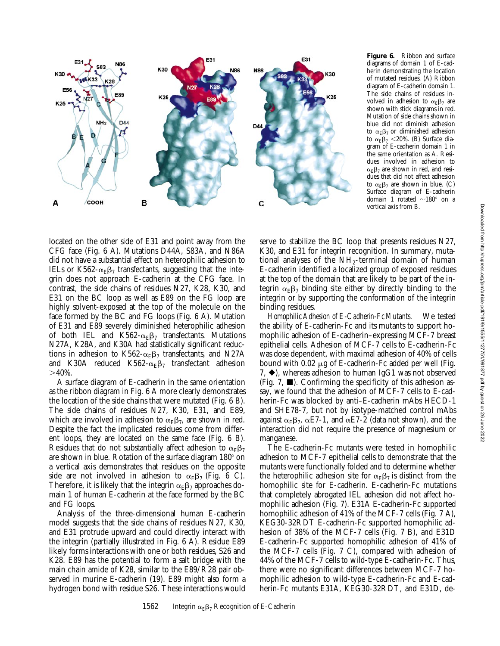

**Figure 6.** Ribbon and surface diagrams of domain 1 of E-cadherin demonstrating the location of mutated residues. (A) Ribbon diagram of E-cadherin domain 1. The side chains of residues involved in adhesion to  $\alpha_E \beta_7$  are shown with stick diagrams in red. Mutation of side chains shown in blue did not diminish adhesion to  $\alpha_{\rm F} \beta_7$  or diminished adhesion to  $\alpha_E\beta_7$  <20%. (B) Surface diagram of E-cadherin domain 1 in the same orientation as A. Residues involved in adhesion to  $\alpha_E\beta_7$  are shown in red, and residues that did not affect adhesion to  $\alpha_E \beta_7$  are shown in blue. (C) Surface diagram of E-cadherin domain 1 rotated  $\sim$ 180 $^{\circ}$  on a vertical axis from B.

located on the other side of E31 and point away from the CFG face (Fig. 6 A). Mutations D44A, S83A, and N86A did not have a substantial effect on heterophilic adhesion to IELs or K562- $\alpha_{\rm E}\beta_7$  transfectants, suggesting that the integrin does not approach E-cadherin at the CFG face. In contrast, the side chains of residues N27, K28, K30, and E31 on the BC loop as well as E89 on the FG loop are highly solvent-exposed at the top of the molecule on the face formed by the BC and FG loops (Fig. 6 A). Mutation of E31 and E89 severely diminished heterophilic adhesion of both IEL and K562- $\alpha_E\beta_7$  transfectants. Mutations N27A, K28A, and K30A had statistically significant reductions in adhesion to K562- $\alpha_E\beta_7$  transfectants, and N27A and K30A reduced K562- $\alpha_E\beta_7$  transfectant adhesion  $>40\%$ .

A surface diagram of E-cadherin in the same orientation as the ribbon diagram in Fig. 6 A more clearly demonstrates the location of the side chains that were mutated (Fig. 6 B). The side chains of residues N27, K30, E31, and E89, which are involved in adhesion to  $\alpha_{\rm E}\beta_7$ , are shown in red. Despite the fact the implicated residues come from different loops, they are located on the same face (Fig. 6 B). Residues that do not substantially affect adhesion to  $\alpha_E \beta_7$ are shown in blue. Rotation of the surface diagram 180° on a vertical axis demonstrates that residues on the opposite side are not involved in adhesion to  $\alpha_E \beta_7$  (Fig. 6 C). Therefore, it is likely that the integrin  $\alpha_{\rm E}\beta_7$  approaches domain 1 of human E-cadherin at the face formed by the BC and FG loops.

Analysis of the three-dimensional human E-cadherin model suggests that the side chains of residues N27, K30, and E31 protrude upward and could directly interact with the integrin (partially illustrated in Fig. 6 A). Residue E89 likely forms interactions with one or both residues, S26 and K28. E89 has the potential to form a salt bridge with the main chain amide of K28, similar to the E89/R28 pair observed in murine E-cadherin (19). E89 might also form a hydrogen bond with residue S26. These interactions would serve to stabilize the BC loop that presents residues N27, K30, and E31 for integrin recognition. In summary, mutational analyses of the  $NH<sub>2</sub>$ -terminal domain of human E-cadherin identified a localized group of exposed residues at the top of the domain that are likely to be part of the integrin  $\alpha_{\rm E}\beta_7$  binding site either by directly binding to the integrin or by supporting the conformation of the integrin binding residues.

*Homophilic Adhesion of E-Cadherin-Fc Mutants.* We tested the ability of E-cadherin-Fc and its mutants to support homophilic adhesion of E-cadherin–expressing MCF-7 breast epithelial cells. Adhesion of MCF-7 cells to E-cadherin-Fc was dose dependent, with maximal adhesion of 40% of cells bound with  $0.02 \mu$ g of E-cadherin-Fc added per well (Fig. 7,  $\blacklozenge$ ), whereas adhesion to human IgG1 was not observed (Fig. 7,  $\blacksquare$ ). Confirming the specificity of this adhesion assay, we found that the adhesion of MCF-7 cells to E-cadherin-Fc was blocked by anti–E-cadherin mAbs HECD-1 and SHE78-7, but not by isotype-matched control mAbs against  $\alpha_E\beta_7$ ,  $\alpha E7-1$ , and  $\alpha E7-2$  (data not shown), and the interaction did not require the presence of magnesium or manganese.

The E-cadherin-Fc mutants were tested in homophilic adhesion to MCF-7 epithelial cells to demonstrate that the mutants were functionally folded and to determine whether the heterophilic adhesion site for  $\alpha_E \beta_7$  is distinct from the homophilic site for E-cadherin. E-cadherin-Fc mutations that completely abrogated IEL adhesion did not affect homophilic adhesion (Fig. 7). E31A E-cadherin-Fc supported homophilic adhesion of 41% of the MCF-7 cells (Fig. 7 A), KEG30-32RDT E-cadherin-Fc supported homophilic adhesion of 38% of the MCF-7 cells (Fig. 7 B), and E31D E-cadherin-Fc supported homophilic adhesion of 41% of the MCF-7 cells (Fig. 7 C), compared with adhesion of 44% of the MCF-7 cells to wild-type E-cadherin-Fc. Thus, there were no significant differences between MCF-7 homophilic adhesion to wild-type E-cadherin-Fc and E-cadherin-Fc mutants E31A, KEG30-32RDT, and E31D, de-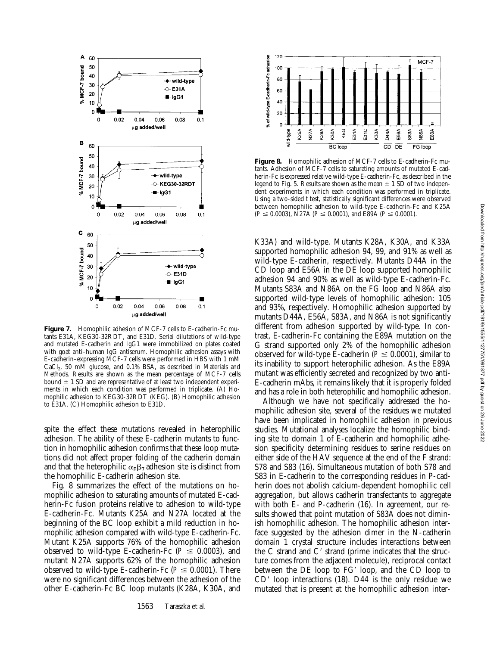

Figure 7. Homophilic adhesion of MCF-7 cells to E-cadherin-Fc mutants E31A, KEG30-32RDT, and E31D. Serial dilutations of wild-type and mutated E-cadherin and IgG1 were immobilized on plates coated with goat anti–human IgG antiserum. Homophilic adhesion assays with E-cadherin–expressing MCF-7 cells were performed in HBS with 1 mM CaCl<sub>2</sub>, 50 mM glucose, and 0.1% BSA, as described in Materials and Methods. Results are shown as the mean percentage of MCF-7 cells bound  $\pm$  1 SD and are representative of at least two independent experiments in which each condition was performed in triplicate. (A) Homophilic adhesion to KEG30-32RDT (KEG). (B) Homophilic adhesion to E31A. (C) Homophilic adhesion to E31D.

spite the effect these mutations revealed in heterophilic adhesion. The ability of these E-cadherin mutants to function in homophilic adhesion confirms that these loop mutations did not affect proper folding of the cadherin domain and that the heterophilic  $\alpha_E\beta_7$  adhesion site is distinct from the homophilic E-cadherin adhesion site.

Fig. 8 summarizes the effect of the mutations on homophilic adhesion to saturating amounts of mutated E-cadherin-Fc fusion proteins relative to adhesion to wild-type E-cadherin-Fc. Mutants K25A and N27A located at the beginning of the BC loop exhibit a mild reduction in homophilic adhesion compared with wild-type E-cadherin-Fc. Mutant K25A supports 76% of the homophilic adhesion observed to wild-type E-cadherin-Fc ( $P \le 0.0003$ ), and mutant N27A supports 62% of the homophilic adhesion observed to wild-type E-cadherin-Fc ( $P \le 0.0001$ ). There were no significant differences between the adhesion of the other E-cadherin-Fc BC loop mutants (K28A, K30A, and



**Figure 8.** Homophilic adhesion of MCF-7 cells to E-cadherin-Fc mutants. Adhesion of MCF-7 cells to saturating amounts of mutated E-cadherin-Fc is expressed relative wild-type E-cadherin-Fc, as described in the legend to Fig. 5. Results are shown as the mean  $\pm$  1 SD of two independent experiments in which each condition was performed in triplicate. Using a two-sided *t* test, statistically significant differences were observed between homophilic adhesion to wild-type E-cadherin-Fc and K25A  $(P \le 0.0003)$ , N27A ( $P \le 0.0001$ ), and E89A ( $P \le 0.0001$ ).

K33A) and wild-type. Mutants K28A, K30A, and K33A supported homophilic adhesion 94, 99, and 91% as well as wild-type E-cadherin, respectively. Mutants D44A in the CD loop and E56A in the DE loop supported homophilic adhesion 94 and 90% as well as wild-type E-cadherin-Fc. Mutants S83A and N86A on the FG loop and N86A also supported wild-type levels of homophilic adhesion: 105 and 93%, respectively. Homophilic adhesion supported by mutants D44A, E56A, S83A, and N86A is not significantly different from adhesion supported by wild-type. In contrast, E-cadherin-Fc containing the E89A mutation on the G strand supported only 2% of the homophilic adhesion observed for wild-type E-cadherin ( $P \le 0.0001$ ), similar to its inability to support heterophilic adhesion. As the E89A mutant was efficiently secreted and recognized by two anti-E-cadherin mAbs, it remains likely that it is properly folded and has a role in both heterophilic and homophilic adhesion.

Although we have not specifically addressed the homophilic adhesion site, several of the residues we mutated have been implicated in homophilic adhesion in previous studies. Mutational analyses localize the homophilic binding site to domain 1 of E-cadherin and homophilic adhesion specificity determining residues to serine residues on either side of the HAV sequence at the end of the F strand: S78 and S83 (16). Simultaneous mutation of both S78 and S83 in E-cadherin to the corresponding residues in P-cadherin does not abolish calcium-dependent homophilic cell aggregation, but allows cadherin transfectants to aggregate with both E- and P-cadherin (16). In agreement, our results showed that point mutation of S83A does not diminish homophilic adhesion. The homophilic adhesion interface suggested by the adhesion dimer in the N-cadherin domain 1 crystal structure includes interactions between the C strand and C' strand (prime indicates that the structure comes from the adjacent molecule), reciprocal contact between the  $DE$  loop to  $FG'$  loop, and the  $CD$  loop to  $CD'$  loop interactions (18). D44 is the only residue we mutated that is present at the homophilic adhesion inter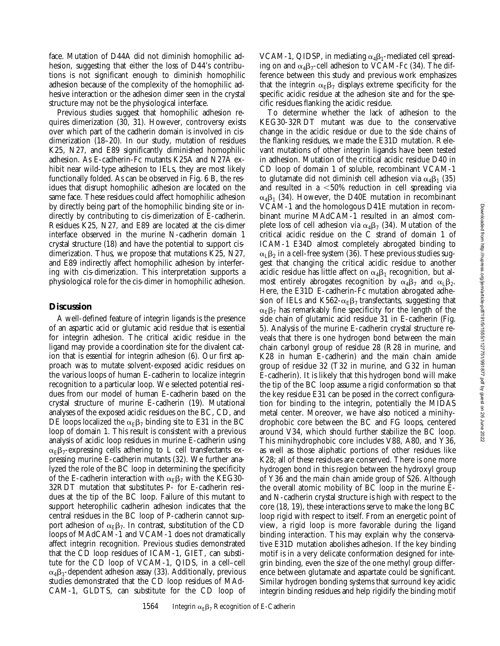face. Mutation of D44A did not diminish homophilic adhesion, suggesting that either the loss of D44's contributions is not significant enough to diminish homophilic adhesion because of the complexity of the homophilic adhesive interaction or the adhesion dimer seen in the crystal structure may not be the physiological interface.

Previous studies suggest that homophilic adhesion requires dimerization (30, 31). However, controversy exists over which part of the cadherin domain is involved in cisdimerization (18–20). In our study, mutation of residues K25, N27, and E89 significantly diminished homophilic adhesion. As E-cadherin-Fc mutants K25A and N27A exhibit near wild-type adhesion to IELs, they are most likely functionally folded. As can be observed in Fig. 6 B, the residues that disrupt homophilic adhesion are located on the same face. These residues could affect homophilic adhesion by directly being part of the homophilic binding site or indirectly by contributing to cis-dimerization of E-cadherin. Residues K25, N27, and E89 are located at the cis-dimer interface observed in the murine N-cadherin domain 1 crystal structure (18) and have the potential to support cisdimerization. Thus, we propose that mutations K25, N27, and E89 indirectly affect homophilic adhesion by interfering with cis-dimerization. This interpretation supports a physiological role for the cis-dimer in homophilic adhesion.

## **Discussion**

A well-defined feature of integrin ligands is the presence of an aspartic acid or glutamic acid residue that is essential for integrin adhesion. The critical acidic residue in the ligand may provide a coordination site for the divalent cation that is essential for integrin adhesion (6). Our first approach was to mutate solvent-exposed acidic residues on the various loops of human E-cadherin to localize integrin recognition to a particular loop. We selected potential residues from our model of human E-cadherin based on the crystal structure of murine E-cadherin (19). Mutational analyses of the exposed acidic residues on the BC, CD, and DE loops localized the  $\alpha_E\beta_7$  binding site to E31 in the BC loop of domain 1. This result is consistent with a previous analysis of acidic loop residues in murine E-cadherin using  $\alpha_E\beta_T$ -expressing cells adhering to L cell transfectants expressing murine E-cadherin mutants (32). We further analyzed the role of the BC loop in determining the specificity of the E-cadherin interaction with  $\alpha_E\beta_7$  with the KEG30-32RDT mutation that substitutes P- for E-cadherin residues at the tip of the BC loop. Failure of this mutant to support heterophilic cadherin adhesion indicates that the central residues in the BC loop of P-cadherin cannot support adhesion of  $\alpha_E\beta_7$ . In contrast, substitution of the CD loops of MAdCAM-1 and VCAM-1 does not dramatically affect integrin recognition. Previous studies demonstrated that the CD loop residues of ICAM-1, GIET, can substitute for the CD loop of VCAM-1, QIDS, in a cell–cell  $\alpha_4\beta_1$ -dependent adhesion assay (33). Additionally, previous studies demonstrated that the CD loop residues of MAd-CAM-1, GLDTS, can substitute for the CD loop of

VCAM-1, QIDSP, in mediating  $\alpha_4\beta_1$ -mediated cell spreading on and  $\alpha_4\beta_7$ -cell adhesion to VCAM-Fc (34). The difference between this study and previous work emphasizes that the integrin  $\alpha_E\beta_7$  displays extreme specificity for the specific acidic residue at the adhesion site and for the specific residues flanking the acidic residue.

To determine whether the lack of adhesion to the KEG30-32RDT mutant was due to the conservative change in the acidic residue or due to the side chains of the flanking residues, we made the E31D mutation. Relevant mutations of other integrin ligands have been tested in adhesion. Mutation of the critical acidic residue D40 in CD loop of domain 1 of soluble, recombinant VCAM-1 to glutamate did not diminish cell adhesion via  $\alpha_4\beta_1$  (35) and resulted in a  $<$  50% reduction in cell spreading via  $\alpha_4\beta_1$  (34). However, the D40E mutation in recombinant VCAM-1 and the homologous D41E mutation in recombinant murine MAdCAM-1 resulted in an almost complete loss of cell adhesion via  $\alpha_4\beta_7$  (34). Mutation of the critical acidic residue on the C strand of domain 1 of ICAM-1 E34D almost completely abrogated binding to  $\alpha_{\rm I}$   $\beta_{\rm 2}$  in a cell-free system (36). These previous studies suggest that changing the critical acidic residue to another acidic residue has little affect on  $\alpha_4\beta_1$  recognition, but almost entirely abrogates recognition by  $\alpha_4\beta_7$  and  $\alpha_1\beta_2$ . Here, the E31D E-cadherin-Fc mutation abrogated adhesion of IELs and K562- $\alpha_E\beta_7$  transfectants, suggesting that  $\alpha_{\rm E}\beta_7$  has remarkably fine specificity for the length of the side chain of glutamic acid residue 31 in E-cadherin (Fig. 5). Analysis of the murine E-cadherin crystal structure reveals that there is one hydrogen bond between the main chain carbonyl group of residue 28 (R28 in murine, and K28 in human E-cadherin) and the main chain amide group of residue 32 (T32 in murine, and G32 in human E-cadherin). It is likely that this hydrogen bond will make the tip of the BC loop assume a rigid conformation so that the key residue E31 can be posed in the correct configuration for binding to the integrin, potentially the MIDAS metal center. Moreover, we have also noticed a minihydrophobic core between the BC and FG loops, centered around V34, which should further stabilize the BC loop. This minihydrophobic core includes V88, A80, and Y36, as well as those aliphatic portions of other residues like K28; all of these residues are conserved. There is one more hydrogen bond in this region between the hydroxyl group of Y36 and the main chain amide group of S26. Although the overall atomic mobility of BC loop in the murine Eand N-cadherin crystal structure is high with respect to the core (18, 19), these interactions serve to make the long BC loop rigid with respect to itself. From an energetic point of view, a rigid loop is more favorable during the ligand binding interaction. This may explain why the conservative E31D mutation abolishes adhesion. If the key binding motif is in a very delicate conformation designed for integrin binding, even the size of the one methyl group difference between glutamate and aspartate could be significant. Similar hydrogen bonding systems that surround key acidic integrin binding residues and help rigidify the binding motif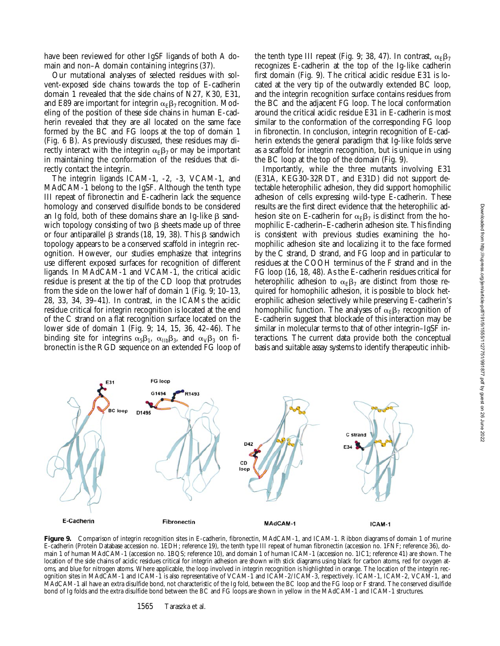have been reviewed for other IgSF ligands of both A domain and non–A domain containing integrins (37).

Our mutational analyses of selected residues with solvent-exposed side chains towards the top of E-cadherin domain 1 revealed that the side chains of N27, K30, E31, and E89 are important for integrin  $\alpha_E \beta_7$  recognition. Modeling of the position of these side chains in human E-cadherin revealed that they are all located on the same face formed by the BC and FG loops at the top of domain 1 (Fig. 6 B). As previously discussed, these residues may directly interact with the integrin  $\alpha_E\beta_7$  or may be important in maintaining the conformation of the residues that directly contact the integrin.

The integrin ligands ICAM-1, -2, -3, VCAM-1, and MAdCAM-1 belong to the IgSF. Although the tenth type III repeat of fibronectin and E-cadherin lack the sequence homology and conserved disulfide bonds to be considered an Ig fold, both of these domains share an Ig-like  $\beta$  sandwich topology consisting of two  $\beta$  sheets made up of three or four antiparallel  $\beta$  strands (18, 19, 38). This  $\beta$  sandwich topology appears to be a conserved scaffold in integrin recognition. However, our studies emphasize that integrins use different exposed surfaces for recognition of different ligands. In MAdCAM-1 and VCAM-1, the critical acidic residue is present at the tip of the CD loop that protrudes from the side on the lower half of domain 1 (Fig. 9; 10–13, 28, 33, 34, 39–41). In contrast, in the ICAMs the acidic residue critical for integrin recognition is located at the end of the C strand on a flat recognition surface located on the lower side of domain 1 (Fig. 9; 14, 15, 36, 42–46). The binding site for integrins  $\alpha_5\beta_1$ ,  $\alpha_{\text{IIb}}\beta_3$ , and  $\alpha_{\text{V}}\beta_3$  on fibronectin is the RGD sequence on an extended FG loop of

FG loop

G1494

D<sub>1495</sub>

R<sub>1493</sub>

E31

**BC** loop

the tenth type III repeat (Fig. 9; 38, 47). In contrast,  $\alpha_{\rm E}\beta_7$ recognizes E-cadherin at the top of the Ig-like cadherin first domain (Fig. 9). The critical acidic residue E31 is located at the very tip of the outwardly extended BC loop, and the integrin recognition surface contains residues from the BC and the adjacent FG loop. The local conformation around the critical acidic residue E31 in E-cadherin is most similar to the conformation of the corresponding FG loop in fibronectin. In conclusion, integrin recognition of E-cadherin extends the general paradigm that Ig-like folds serve as a scaffold for integrin recognition, but is unique in using the BC loop at the top of the domain (Fig. 9).

Importantly, while the three mutants involving E31 (E31A, KEG30-32RDT, and E31D) did not support detectable heterophilic adhesion, they did support homophilic adhesion of cells expressing wild-type E-cadherin. These results are the first direct evidence that the heterophilic adhesion site on E-cadherin for  $\alpha_F \beta_7$  is distinct from the homophilic E-cadherin–E-cadherin adhesion site. This finding is consistent with previous studies examining the homophilic adhesion site and localizing it to the face formed by the C strand, D strand, and FG loop and in particular to residues at the COOH terminus of the F strand and in the FG loop (16, 18, 48). As the E-cadherin residues critical for heterophilic adhesion to  $\alpha_E \beta_7$  are distinct from those required for homophilic adhesion, it is possible to block heterophilic adhesion selectively while preserving E-cadherin's homophilic function. The analyses of  $\alpha_{E}\beta_{7}$  recognition of E-cadherin suggest that blockade of this interaction may be similar in molecular terms to that of other integrin–IgSF interactions. The current data provide both the conceptual basis and suitable assay systems to identify therapeutic inhib-

C strand

F34



D42

CD loon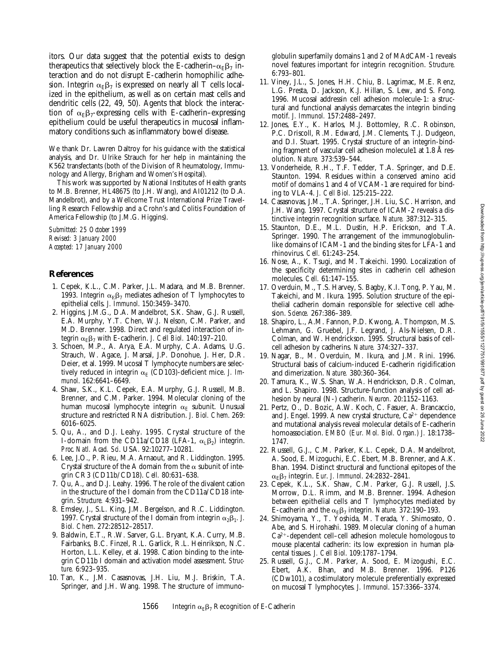itors. Our data suggest that the potential exists to design therapeutics that selectively block the E-cadherin– $\alpha_{E}\beta_{7}$  interaction and do not disrupt E-cadherin homophilic adhesion. Integrin  $\alpha_{\rm E}\beta_7$  is expressed on nearly all T cells localized in the epithelium, as well as on certain mast cells and dendritic cells (22, 49, 50). Agents that block the interaction of  $\alpha_E\beta_7$ -expressing cells with E-cadherin–expressing epithelium could be useful therapeutics in mucosal inflammatory conditions such as inflammatory bowel disease.

We thank Dr. Lawren Daltroy for his guidance with the statistical analysis, and Dr. Ulrike Strauch for her help in maintaining the K562 transfectants (both of the Division of Rheumatology, Immunology and Allergy, Brigham and Women's Hospital).

This work was supported by National Institutes of Health grants to M.B. Brenner, HL48675 (to J.H. Wang), and AI01212 (to D.A. Mandelbrot), and by a Wellcome Trust International Prize Travelling Research Fellowship and a Crohn's and Colitis Foundation of America Fellowship (to J.M.G. Higgins).

*Submitted: 25 October 1999 Revised: 3 January 2000 Accepted: 17 January 2000*

# **References**

- 1. Cepek, K.L., C.M. Parker, J.L. Madara, and M.B. Brenner. 1993. Integrin  $\alpha_E \beta_7$  mediates adhesion of T lymphocytes to epithelial cells. *J. Immunol*. 150:3459–3470.
- 2. Higgins, J.M.G., D.A. Mandelbrot, S.K. Shaw, G.J. Russell, E.A. Murphy, Y.T. Chen, W.J. Nelson, C.M. Parker, and M.D. Brenner. 1998. Direct and regulated interaction of integrin  $\alpha_E\beta_7$  with E-cadherin. *J. Cell Biol.* 140:197–210.
- 3. Schoen, M.P., A. Arya, E.A. Murphy, C.A. Adams, U.G. Strauch, W. Agace, J. Marsal, J.P. Donohue, J. Her, D.R. Deier, et al. 1999. Mucosal T lymphocyte numbers are selectively reduced in integrin  $\alpha_E$  (CD103)-deficient mice. *J. Immunol*. 162:6641–6649.
- 4. Shaw, S.K., K.L. Cepek, E.A. Murphy, G.J. Russell, M.B. Brenner, and C.M. Parker. 1994. Molecular cloning of the human mucosal lymphocyte integrin  $\alpha_F$  subunit. Unusual structure and restricted RNA distribution. *J. Biol. Chem*. 269: 6016–6025.
- 5. Qu, A., and D.J. Leahy. 1995. Crystal structure of the I-domain from the CD11a/CD18 (LFA-1,  $\alpha_1\beta_2$ ) integrin. *Proc. Natl. Acad. Sci*. USA. 92:10277–10281.
- 6. Lee, J.O., P. Rieu, M.A. Arnaout, and R. Liddington. 1995. Crystal structure of the A domain from the  $\alpha$  subunit of integrin CR3 (CD11b/CD18). *Cell.* 80:631–638.
- 7. Qu, A., and D.J. Leahy. 1996. The role of the divalent cation in the structure of the I domain from the CD11a/CD18 integrin. *Structure.* 4:931–942.
- 8. Emsley, J., S.L. King, J.M. Bergelson, and R.C. Liddington. 1997. Crystal structure of the I domain from integrin  $\alpha_2 \beta_1$ . *J. Biol. Chem*. 272:28512–28517.
- 9. Baldwin, E.T., R.W. Sarver, G.L. Bryant, K.A. Curry, M.B. Fairbanks, B.C. Finzel, R.L. Garlick, R.L. Heinrikson, N.C. Horton, L.L. Kelley, et al. 1998. Cation binding to the integrin CD11b I domain and activation model assessment. *Structure.* 6:923–935.
- 10. Tan, K., J.M. Casasnovas, J.H. Liu, M.J. Briskin, T.A. Springer, and J.H. Wang. 1998. The structure of immuno-

globulin superfamily domains 1 and 2 of MAdCAM-1 reveals novel features important for integrin recognition. *Structure.* 6:793–801.

- 11. Viney, J.L., S. Jones, H.H. Chiu, B. Lagrimac, M.E. Renz, L.G. Presta, D. Jackson, K.J. Hillan, S. Lew, and S. Fong. 1996. Mucosal addressin cell adhesion molecule-1: a structural and functional analysis demarcates the integrin binding motif. *J. Immunol.* 157:2488–2497.
- 12. Jones, E.Y., K. Harlos, M.J. Bottomley, R.C. Robinson, P.C. Driscoll, R.M. Edward, J.M. Clements, T.J. Dudgeon, and D.I. Stuart. 1995. Crystal structure of an integrin-binding fragment of vascular cell adhesion molecule1 at 1.8 Å resolution. *Nature.* 373:539–544.
- 13. Vonderheide, R.H., T.F. Tedder, T.A. Springer, and D.E. Staunton. 1994. Residues within a conserved amino acid motif of domains 1 and 4 of VCAM-1 are required for binding to VLA-4. *J. Cell Biol*. 125:215–222.
- 14. Casasnovas, J.M., T.A. Springer, J.H. Liu, S.C. Harrison, and J.H. Wang. 1997. Crystal structure of ICAM-2 reveals a distinctive integrin recognition surface. *Nature.* 387:312–315.
- 15. Staunton, D.E., M.L. Dustin, H.P. Erickson, and T.A. Springer. 1990. The arrangement of the immunoglobulinlike domains of ICAM-1 and the binding sites for LFA-1 and rhinovirus. *Cell.* 61:243–254.
- 16. Nose, A., K. Tsugi, and M. Takeichi. 1990. Localization of the specificity determining sites in cadherin cell adhesion molecules. *Cell.* 61:147–155.
- 17. Overduin, M., T.S. Harvey, S. Bagby, K.I. Tong, P. Yau, M. Takeichi, and M. Ikura. 1995. Solution structure of the epithelial cadherin domain responsible for selective cell adhesion. *Science.* 267:386–389.
- 18. Shapiro, L., A.M. Fannon, P.D. Kwong, A. Thompson, M.S. Lehmann, G. Gruebel, J.F. Legrand, J. Als-Nielsen, D.R. Colman, and W. Hendrickson. 1995. Structural basis of cellcell adhesion by cadherins. *Nature.* 374:327–337.
- 19. Nagar, B., M. Overduin, M. Ikura, and J.M. Rini. 1996. Structural basis of calcium-induced E-cadherin rigidification and dimerization. *Nature.* 380:360–364.
- 20. Tamura, K., W.S. Shan, W.A. Hendrickson, D.R. Colman, and L. Shapiro. 1998. Structure-function analysis of cell adhesion by neural (N-) cadherin. *Neuron.* 20:1152–1163.
- 21. Pertz, O., D. Bozic, A.W. Koch, C. Fasuer, A. Brancaccio, and J. Engel. 1999. A new crystal structure,  $Ca^{2+}$  dependence and mutational analysis reveal molecular details of E-cadherin homoassociation. *EMBO (Eur. Mol. Biol. Organ.) J.* 18:1738– 1747.
- 22. Russell, G.J., C.M. Parker, K.L. Cepek, D.A. Mandelbrot, A. Sood, E. Mizoguchi, E.C. Ebert, M.B. Brenner, and A.K. Bhan. 1994. Distinct structural and functional epitopes of the  $\alpha_E\beta_7$  integrin. *Eur. J. Immunol.* 24:2832–2841.
- 23. Cepek, K.L., S.K. Shaw, C.M. Parker, G.J. Russell, J.S. Morrow, D.L. Rimm, and M.B. Brenner. 1994. Adhesion between epithelial cells and T lymphocytes mediated by E-cadherin and the  $\alpha_E\beta_7$  integrin. *Nature.* 372:190–193.
- 24. Shimoyama, Y., T. Yoshida, M. Terada, Y. Shimosato, O. Abe, and S. Hirohashi. 1989. Molecular cloning of a human  $Ca<sup>2+</sup>$ -dependent cell–cell adhesion molecule homologous to mouse placental cadherin: its low expression in human placental tissues. *J. Cell Biol*. 109:1787–1794.
- 25. Russell, G.J., C.M. Parker, A. Sood, E. Mizogushi, E.C. Ebert, A.K. Bhan, and M.B. Brenner. 1996. P126 (CDw101), a costimulatory molecule preferentially expressed on mucosal T lymphocytes. *J. Immunol*. 157:3366–3374.

Downloaded from http://rupress.org/jem/article-pdf/191/9/1555/1127751/991877.pdf by guest on 26 June 2022 Downloaded from http://rupress.org/jem/article-pdf/191/9/1555/1127751/991877.pdf by guest on 26 June 2022